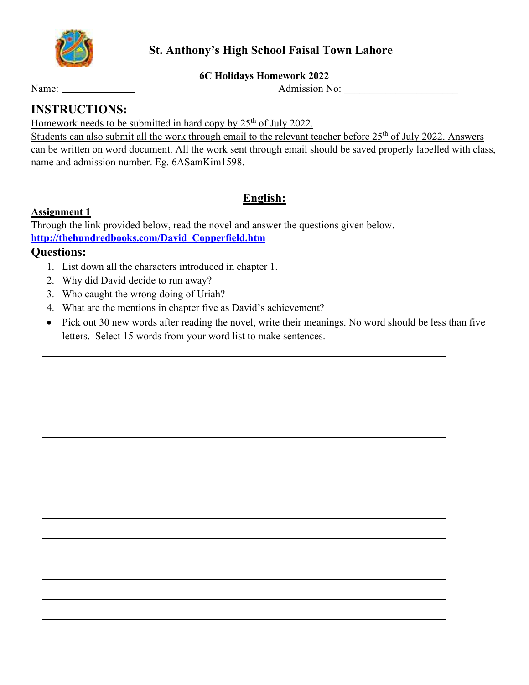

# **St. Anthony's High School Faisal Town Lahore**

#### **6C Holidays Homework 2022**

Name: Admission No: \_\_\_\_\_\_\_\_\_\_\_\_\_\_\_\_\_\_\_\_\_\_

# **INSTRUCTIONS:**

Homework needs to be submitted in hard copy by  $25<sup>th</sup>$  of July 2022.

Students can also submit all the work through email to the relevant teacher before 25<sup>th</sup> of July 2022. Answers can be written on word document. All the work sent through email should be saved properly labelled with class, name and admission number. Eg. 6ASamKim1598.

# **English:**

### **Assignment 1**

Through the link provided below, read the novel and answer the questions given below. **http://thehundredbooks.com/David\_Copperfield.htm**

### **Questions:**

- 1. List down all the characters introduced in chapter 1.
- 2. Why did David decide to run away?
- 3. Who caught the wrong doing of Uriah?
- 4. What are the mentions in chapter five as David's achievement?
- Pick out 30 new words after reading the novel, write their meanings. No word should be less than five letters. Select 15 words from your word list to make sentences.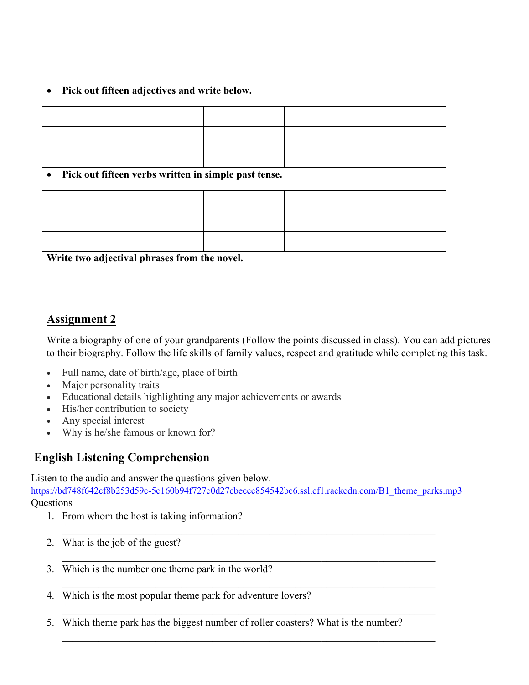#### • **Pick out fifteen adjectives and write below.**

#### • **Pick out fifteen verbs written in simple past tense.**

**Write two adjectival phrases from the novel.** 

# **Assignment 2**

Write a biography of one of your grandparents (Follow the points discussed in class). You can add pictures to their biography. Follow the life skills of family values, respect and gratitude while completing this task.

- Full name, date of birth/age, place of birth
- Major personality traits
- Educational details highlighting any major achievements or awards
- His/her contribution to society
- Any special interest
- Why is he/she famous or known for?

# **English Listening Comprehension**

Listen to the audio and answer the questions given below.

https://bd748f642cf8b253d59c-5c160b94f727c0d27cbeccc854542bc6.ssl.cf1.rackcdn.com/B1\_theme\_parks.mp3 **Questions** 

 $\_$  , and the contribution of the contribution of  $\mathcal{L}_\mathcal{A}$  , and the contribution of  $\mathcal{L}_\mathcal{A}$ 

 $\_$  , and the set of the set of the set of the set of the set of the set of the set of the set of the set of the set of the set of the set of the set of the set of the set of the set of the set of the set of the set of th

 $\_$  , and the contribution of the contribution of  $\mathcal{L}_\mathcal{A}$  , and the contribution of  $\mathcal{L}_\mathcal{A}$ 

 $\_$  , and the contribution of the contribution of  $\mathcal{L}_\mathcal{A}$  , and the contribution of  $\mathcal{L}_\mathcal{A}$ 

 $\_$  , and the set of the set of the set of the set of the set of the set of the set of the set of the set of the set of the set of the set of the set of the set of the set of the set of the set of the set of the set of th

- 1. From whom the host is taking information?
- 2. What is the job of the guest?
- 3. Which is the number one theme park in the world?
- 4. Which is the most popular theme park for adventure lovers?
- 5. Which theme park has the biggest number of roller coasters? What is the number?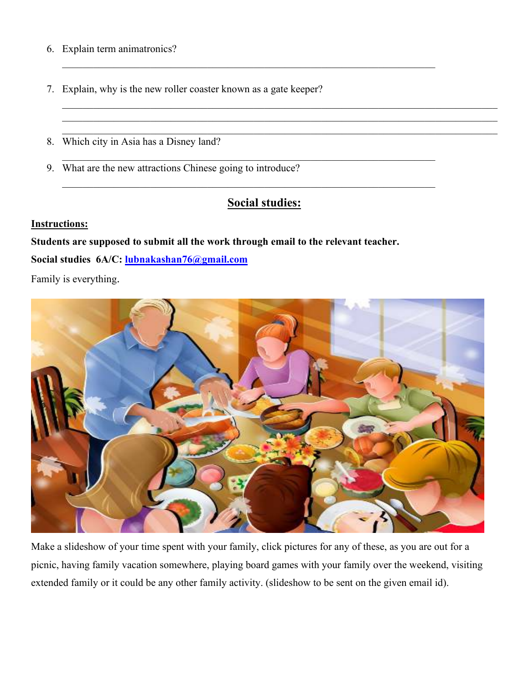- 6. Explain term animatronics?
- 7. Explain, why is the new roller coaster known as a gate keeper?
- 8. Which city in Asia has a Disney land?
- 9. What are the new attractions Chinese going to introduce?

# **Social studies:**

 $\_$  , and the set of the set of the set of the set of the set of the set of the set of the set of the set of the set of the set of the set of the set of the set of the set of the set of the set of the set of the set of th  $\_$  , and the set of the set of the set of the set of the set of the set of the set of the set of the set of the set of the set of the set of the set of the set of the set of the set of the set of the set of the set of th  $\_$  , and the set of the set of the set of the set of the set of the set of the set of the set of the set of the set of the set of the set of the set of the set of the set of the set of the set of the set of the set of th

 $\_$  , and the contribution of the contribution of  $\mathcal{L}_\mathcal{A}$  , and the contribution of  $\mathcal{L}_\mathcal{A}$ 

 $\_$  , and the contribution of the contribution of  $\mathcal{L}_\mathcal{A}$  , and the contribution of  $\mathcal{L}_\mathcal{A}$ 

 $\_$  , and the contribution of the contribution of  $\mathcal{L}_\mathcal{A}$  , and the contribution of  $\mathcal{L}_\mathcal{A}$ 

#### **Instructions:**

**Students are supposed to submit all the work through email to the relevant teacher.** 

**Social studies 6A/C: lubnakashan76@gmail.com**

Family is everything.



Make a slideshow of your time spent with your family, click pictures for any of these, as you are out for a picnic, having family vacation somewhere, playing board games with your family over the weekend, visiting extended family or it could be any other family activity. (slideshow to be sent on the given email id).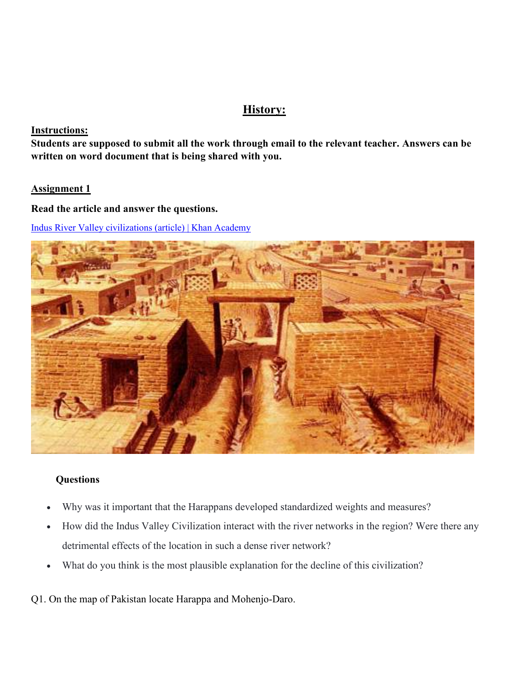# **History:**

#### **Instructions:**

**Students are supposed to submit all the work through email to the relevant teacher. Answers can be written on word document that is being shared with you.** 

#### **Assignment 1**

#### **Read the article and answer the questions.**

Indus River Valley civilizations (article) | Khan Academy



#### **Questions**

- Why was it important that the Harappans developed standardized weights and measures?
- How did the Indus Valley Civilization interact with the river networks in the region? Were there any detrimental effects of the location in such a dense river network?
- What do you think is the most plausible explanation for the decline of this civilization?
- Q1. On the map of Pakistan locate Harappa and Mohenjo-Daro.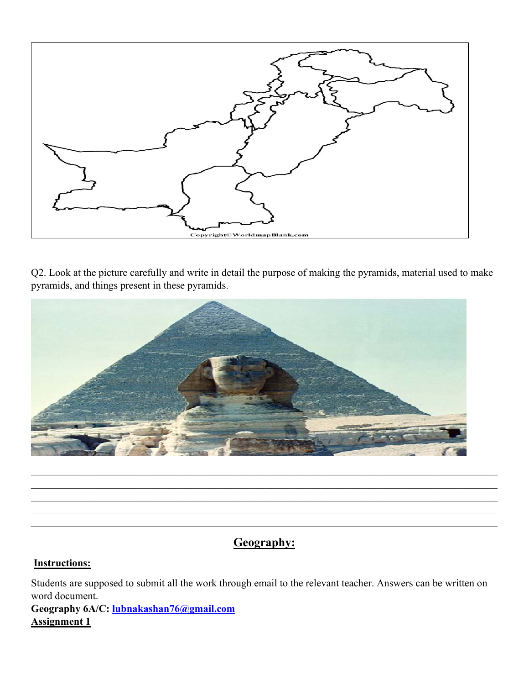

Q2. Look at the picture carefully and write in detail the purpose of making the pyramids, material used to make pyramids, and things present in these pyramids.



# **Geography:**

 $\_$  , and the contribution of the contribution of the contribution of the contribution of the contribution of  $\mathcal{L}_\text{max}$  $\_$  , and the contribution of the contribution of the contribution of the contribution of the contribution of  $\mathcal{L}_\text{max}$  $\_$  , and the contribution of the contribution of the contribution of the contribution of the contribution of  $\mathcal{L}_\text{max}$  $\_$  , and the contribution of the contribution of the contribution of the contribution of the contribution of  $\mathcal{L}_\text{max}$  $\_$  , and the contribution of the contribution of the contribution of the contribution of the contribution of  $\mathcal{L}_\text{max}$ 

# **Instructions:**

Students are supposed to submit all the work through email to the relevant teacher. Answers can be written on word document.

**Geography 6A/C: lubnakashan76@gmail.com Assignment 1**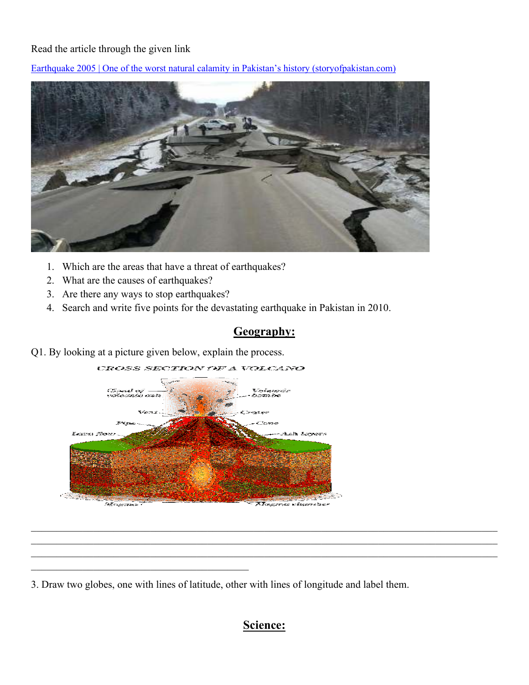### Read the article through the given link

Earthquake 2005 | One of the worst natural calamity in Pakistan's history (storyofpakistan.com)



- 1. Which are the areas that have a threat of earthquakes?
- 2. What are the causes of earthquakes?
- 3. Are there any ways to stop earthquakes?

\_\_\_\_\_\_\_\_\_\_\_\_\_\_\_\_\_\_\_\_\_\_\_\_\_\_\_\_\_\_\_\_\_\_\_\_\_\_\_\_\_\_

4. Search and write five points for the devastating earthquake in Pakistan in 2010.

# **Geography:**

Q1. By looking at a picture given below, explain the process.



3. Draw two globes, one with lines of latitude, other with lines of longitude and label them.

# **Science:**

 $\_$  , and the contribution of the contribution of the contribution of the contribution of the contribution of  $\mathcal{L}_\text{max}$  $\_$  , and the contribution of the contribution of the contribution of the contribution of the contribution of  $\mathcal{L}_\text{max}$  $\_$  , and the contribution of the contribution of the contribution of the contribution of the contribution of  $\mathcal{L}_\text{max}$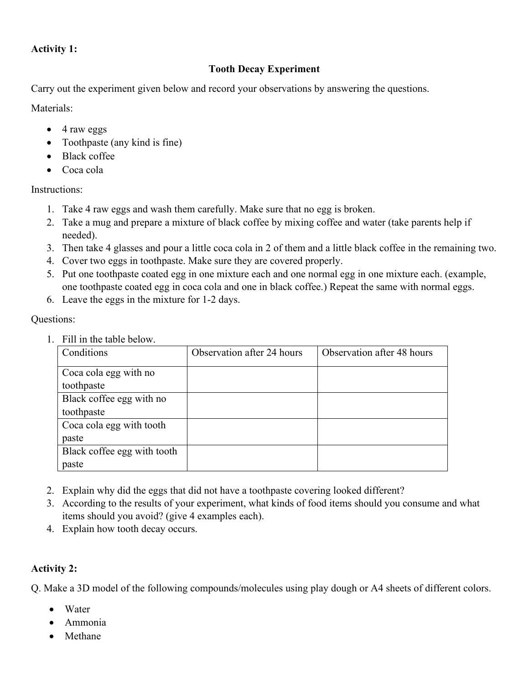### **Activity 1:**

### **Tooth Decay Experiment**

Carry out the experiment given below and record your observations by answering the questions.

Materials<sup>.</sup>

- 4 raw eggs
- Toothpaste (any kind is fine)
- Black coffee
- Coca cola

Instructions:

- 1. Take 4 raw eggs and wash them carefully. Make sure that no egg is broken.
- 2. Take a mug and prepare a mixture of black coffee by mixing coffee and water (take parents help if needed).
- 3. Then take 4 glasses and pour a little coca cola in 2 of them and a little black coffee in the remaining two.
- 4. Cover two eggs in toothpaste. Make sure they are covered properly.
- 5. Put one toothpaste coated egg in one mixture each and one normal egg in one mixture each. (example, one toothpaste coated egg in coca cola and one in black coffee.) Repeat the same with normal eggs.
- 6. Leave the eggs in the mixture for 1-2 days.

Questions:

1. Fill in the table below.

| Conditions                  | Observation after 24 hours | Observation after 48 hours |
|-----------------------------|----------------------------|----------------------------|
| Coca cola egg with no       |                            |                            |
| toothpaste                  |                            |                            |
| Black coffee egg with no    |                            |                            |
| toothpaste                  |                            |                            |
| Coca cola egg with tooth    |                            |                            |
| paste                       |                            |                            |
| Black coffee egg with tooth |                            |                            |
| paste                       |                            |                            |

- 2. Explain why did the eggs that did not have a toothpaste covering looked different?
- 3. According to the results of your experiment, what kinds of food items should you consume and what items should you avoid? (give 4 examples each).
- 4. Explain how tooth decay occurs.

### **Activity 2:**

Q. Make a 3D model of the following compounds/molecules using play dough or A4 sheets of different colors.

- Water
- Ammonia
- Methane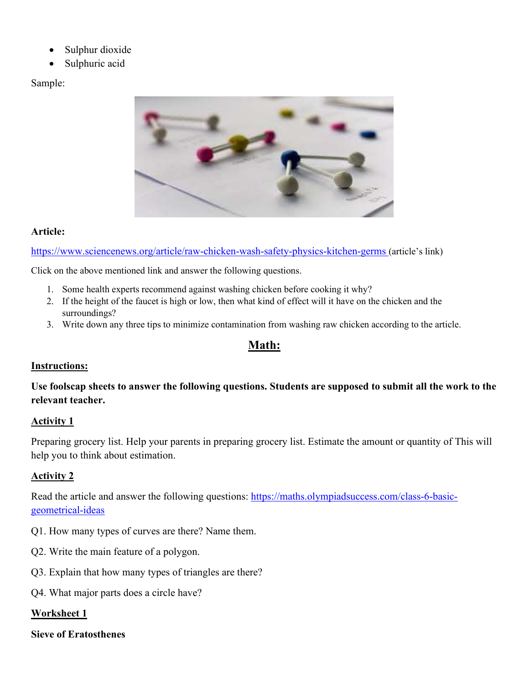- Sulphur dioxide
- Sulphuric acid

Sample:



### **Article:**

https://www.sciencenews.org/article/raw-chicken-wash-safety-physics-kitchen-germs (article's link)

Click on the above mentioned link and answer the following questions.

- 1. Some health experts recommend against washing chicken before cooking it why?
- 2. If the height of the faucet is high or low, then what kind of effect will it have on the chicken and the surroundings?
- 3. Write down any three tips to minimize contamination from washing raw chicken according to the article.

# **Math:**

# **Instructions:**

**Use foolscap sheets to answer the following questions. Students are supposed to submit all the work to the relevant teacher.** 

### **Activity 1**

Preparing grocery list. Help your parents in preparing grocery list. Estimate the amount or quantity of This will help you to think about estimation.

# **Activity 2**

Read the article and answer the following questions: https://maths.olympiadsuccess.com/class-6-basicgeometrical-ideas

- Q1. How many types of curves are there? Name them.
- Q2. Write the main feature of a polygon.
- Q3. Explain that how many types of triangles are there?
- Q4. What major parts does a circle have?

### **Worksheet 1**

#### **Sieve of Eratosthenes**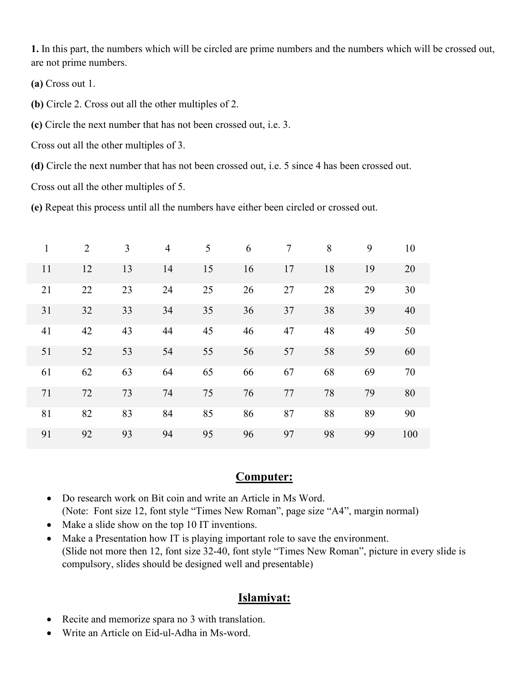**1.** In this part, the numbers which will be circled are prime numbers and the numbers which will be crossed out, are not prime numbers.

**(a)** Cross out 1.

**(b)** Circle 2. Cross out all the other multiples of 2.

**(c)** Circle the next number that has not been crossed out, i.e. 3.

Cross out all the other multiples of 3.

**(d)** Circle the next number that has not been crossed out, i.e. 5 since 4 has been crossed out.

Cross out all the other multiples of 5.

**(e)** Repeat this process until all the numbers have either been circled or crossed out.

| $\mathbf{1}$ | 2  | 3  | $\overline{4}$ | 5  | 6  | 7  | 8  | 9  | 10  |
|--------------|----|----|----------------|----|----|----|----|----|-----|
| 11           | 12 | 13 | 14             | 15 | 16 | 17 | 18 | 19 | 20  |
| 21           | 22 | 23 | 24             | 25 | 26 | 27 | 28 | 29 | 30  |
| 31           | 32 | 33 | 34             | 35 | 36 | 37 | 38 | 39 | 40  |
| 41           | 42 | 43 | 44             | 45 | 46 | 47 | 48 | 49 | 50  |
| 51           | 52 | 53 | 54             | 55 | 56 | 57 | 58 | 59 | 60  |
| 61           | 62 | 63 | 64             | 65 | 66 | 67 | 68 | 69 | 70  |
| 71           | 72 | 73 | 74             | 75 | 76 | 77 | 78 | 79 | 80  |
| 81           | 82 | 83 | 84             | 85 | 86 | 87 | 88 | 89 | 90  |
| 91           | 92 | 93 | 94             | 95 | 96 | 97 | 98 | 99 | 100 |

# **Computer:**

- Do research work on Bit coin and write an Article in Ms Word. (Note: Font size 12, font style "Times New Roman", page size "A4", margin normal)
- Make a slide show on the top 10 IT inventions.
- Make a Presentation how IT is playing important role to save the environment. (Slide not more then 12, font size 32-40, font style "Times New Roman", picture in every slide is compulsory, slides should be designed well and presentable)

# **Islamiyat:**

- Recite and memorize spara no 3 with translation.
- Write an Article on Eid-ul-Adha in Ms-word.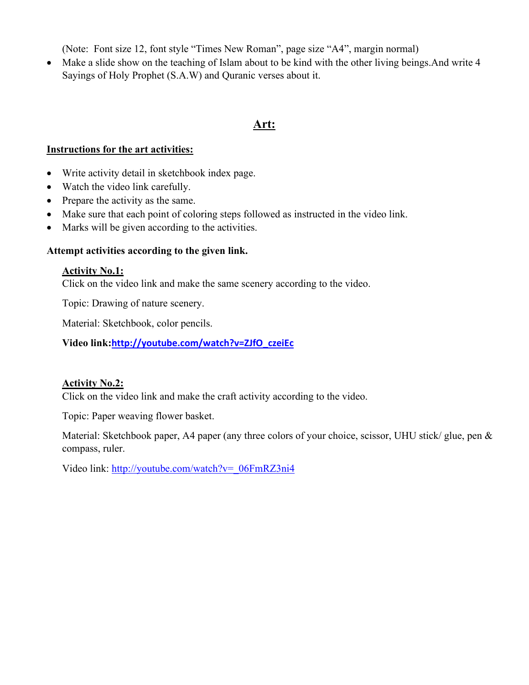(Note: Font size 12, font style "Times New Roman", page size "A4", margin normal)

• Make a slide show on the teaching of Islam about to be kind with the other living beings. And write 4 Sayings of Holy Prophet (S.A.W) and Quranic verses about it.

### **Art:**

#### **Instructions for the art activities:**

- Write activity detail in sketchbook index page.
- Watch the video link carefully.
- Prepare the activity as the same.
- Make sure that each point of coloring steps followed as instructed in the video link.
- Marks will be given according to the activities.

### **Attempt activities according to the given link.**

### **Activity No.1:**

Click on the video link and make the same scenery according to the video.

Topic: Drawing of nature scenery.

Material: Sketchbook, color pencils.

**Video link:http://youtube.com/watch?v=ZJfO\_czeiEc**

### **Activity No.2:**

Click on the video link and make the craft activity according to the video.

Topic: Paper weaving flower basket.

Material: Sketchbook paper, A4 paper (any three colors of your choice, scissor, UHU stick/ glue, pen & compass, ruler.

Video link: http://youtube.com/watch?v=\_06FmRZ3ni4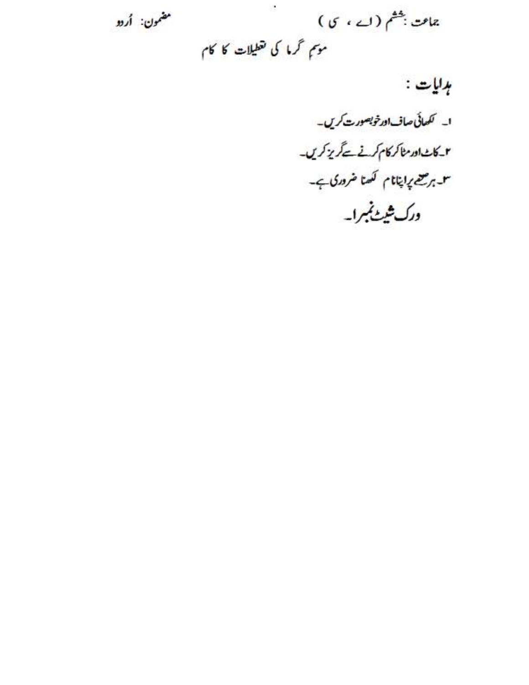چامت ب<sup>ھٹ</sup>م (اے ، ی) مضمون: أردو موسم گرما کی تقطیلات کا کام

ہدایات :

ا۔ کھائی صاف اورخوبصورت کریں۔ می است اور مناکر کام کرنے کے گریز کریں۔ ۳۔بر صحیح ابتانام کھتا خروری ہے۔ درک شیٹ نمبرا۔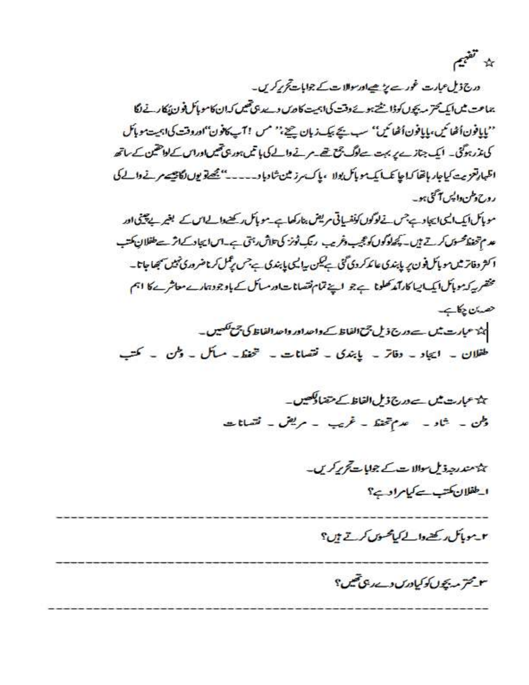

درج ذیل عبارت غورے پڑھےاور سوالات کے جوابات تجریر کریں۔ یماعت میں ایک محترمہ بچوں کوڈا نشتہوے وقت کی اہمیت کا دی دےدی تھیں کہ ان کامویا کی فون ایکار نے لگا ''پایافون اُٹھائیں، پایافون اُٹھائیں'' سب بجے بیک زبان چیج'' مس ! آپ کافون''اوروقت کی اہمیت موبائل کی مذرہوگئی۔ ایک جنازے پر بہت سے لوگ بج تھے۔ مرتے والے کی ہاتھ ہور پی تھیں اور اس کے لواحقین کے ساتھ اظهارتعزيت كياجار بإفقا كماجا تكسا يكسمو بأكريولا ، ياك مرز ثين شاوبا و----" يحصقونون لكاتيسه مرنے والے كى روح وطن واليس آگئ ہو۔

مویاک ایک ایک ایجادے جس نے لوگوں کونفسیاتی مریض بنار کھاہے۔مویاک رکھنےدالے اس کے بغیر پے پینی اور عد م تحفظ محسوس کرتے ہیں۔ کچھ لوگوں کو عجیب وغریب رنگ ٹونز کی تلاش پہ آئ ہے۔اس ایجاد کے اثر سے طفلان کتب ا کثر دفاتر ثیں مو پاک فون پر پابندی عائد کر دی گئی ہے لیس پیالیں پابندی ہے جس پڑھل کرنا ضروری ٹیٹ سبھا جاتا۔ مخضر یہ کرموبائل ایک ایا کارآمد تھلونا ہے جو اپنے تمام نقصانات اور سائل کے باوجود ہارے معاشرے کا اہم هدان چکاہے۔

ہن<del>ا</del> عبارت میں سے درج ذیل جمع الفاظ کے واحد اور واحد الفاظ کی ج<del>مع لکھی</del>ں۔ طفلان ۔ ایجاد ۔ دفاتر ۔ پابندی ۔ نقصانات ۔ خینظ۔ مسائل ۔ وطن ۔ کتب

> ہی<sup>م</sup> عبارت میں سے درج ذیل الفاظ کے متعالیکھیں۔ وطن ۔ شاد ۔ عدم تحفظ ۔ غریب ۔ مریض ۔ نقصانات

> > ہیں متعد رحید ڈیل موالا سے کے جوابا <del>ہے</del> کرکر ہیں۔ الطفلان كتب سے كيامراد ہے؟

٣-مومائل ريح والے کمامحسوں کرتے ہیں؟

۳-مخترمه بچول کوکیادرس وسے دی تھیں؟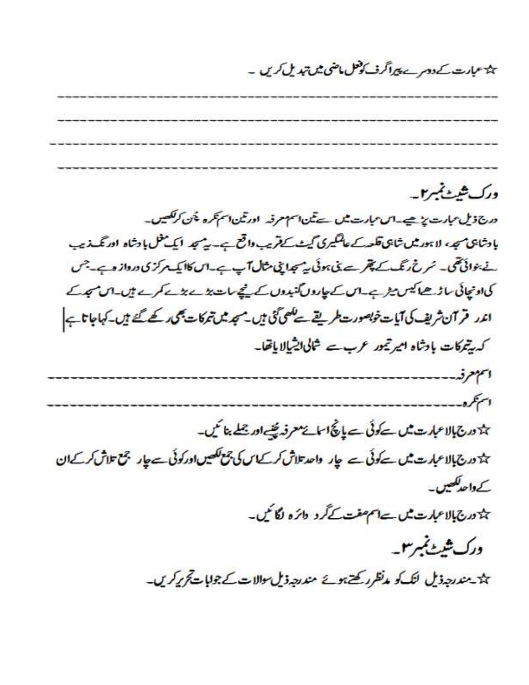# ین<del>ا</del> عبارت کے دوسرے پیراگرف کوفعل ماضی میں تبدیل کریں۔

ورک شیٹ بمبر ۲۔ درج ذیل عبارت پڑھیے۔اس عبارت میں سے تین اسم معرفہ اور تین اسم تکرہ پھن کر لکھیں۔ بادشاہی ہے، لاہور میں شاہی تکھ*ے عالمگیری کیٹ کے قریب داقع ہے۔ یہ تبہ* ایک مکمل بادشاہ اور نگ زیب نے بنوائی تھی۔ سُر نے رنگ کے پھر سے تی ہوئی یہ مجدانی شال آپ ہے۔ اس کاایک مرکزی درواز وہے۔ جس

كى اونچائى ساڑھا كيس مير بے اس كے چاروں گنبدوں كے نچے سات بڑے بڑے ہيں۔ اس میرے اندر قرآن ثریف کی آیات خوبصورت طریقے سے کھی گئی ہیں۔ مجد میں تمرکات بھی کھے گئے ہیں۔ کہاجاتا ہے کہ پیمرکات بادشاہ امیر تیور عرب سے شاکی ایشیالا یاتھا۔

انتهع فهيب وسيسوسوسوس استجره

ہڈ درج بالاعبارت میں سے کوئی سے پانچ اسا سے معرفہ پینے اور جملے بنا سُیں۔

ہورج بالاعبارت میں *سے کوئی سے* چار واحد تلاش کر کے اس کی جمع لکھیں اور کوئی سے چار جمع تلاش کر کے ان کے داحد لکھیں۔

ہورج بالاعبارت <u>میں ہے ا</u>سم صفت کے گرد دائرہ لگا تیں۔

ورک شیٹ نمبر ۳۔

ہند مندرجہ ذیل لنگ کو م*نظر رکھتے ہوئے مندرجہ* ذیل سوالات کے جوابات تحریر کریں۔